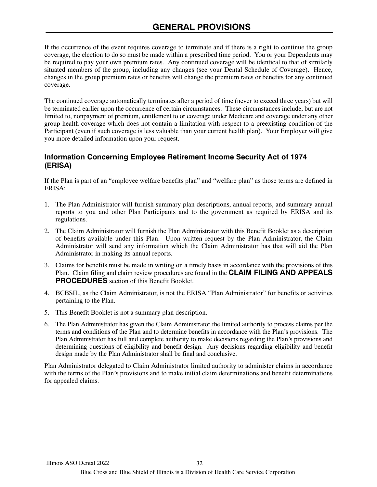If the occurrence of the event requires coverage to terminate and if there is a right to continue the group coverage, the election to do so must be made within a prescribed time period. You or your Dependents may be required to pay your own premium rates. Any continued coverage will be identical to that of similarly situated members of the group, including any changes (see your Dental Schedule of Coverage). Hence, changes in the group premium rates or benefits will change the premium rates or benefits for any continued coverage.

The continued coverage automatically terminates after a period of time (never to exceed three years) but will be terminated earlier upon the occurrence of certain circumstances. These circumstances include, but are not limited to, nonpayment of premium, entitlement to or coverage under Medicare and coverage under any other group health coverage which does not contain a limitation with respect to a preexisting condition of the Participant (even if such coverage is less valuable than your current health plan). Your Employer will give you more detailed information upon your request.

## **Information Concerning Employee Retirement Income Security Act of 1974 (ERISA)**

If the Plan is part of an "employee welfare benefits plan" and "welfare plan" as those terms are defined in ERISA:

- 1. The Plan Administrator will furnish summary plan descriptions, annual reports, and summary annual reports to you and other Plan Participants and to the government as required by ERISA and its regulations.
- 2. The Claim Administrator will furnish the Plan Administrator with this Benefit Booklet as a description of benefits available under this Plan. Upon written request by the Plan Administrator, the Claim Administrator will send any information which the Claim Administrator has that will aid the Plan Administrator in making its annual reports. employee welfare benefits plan" and "welfare plan" as t<br>tor will furnish summary plan descriptions, annual report<br>ther Plan Participants and to the government as req<br>ator will furnish the Plan Administrator with this Benef
- 3. Claims for benefits must be made in writing on a timely basis in accordance with the provisions of this Plan. Claim filing and claim review procedures are found in the **CLAIM FILING AND APPEALS PROCEDURES** section of this Benefit Booklet.
- 4. BCBSIL, as the Claim Administrator, is not the ERISA "Plan Administrator" for benefits or activities pertaining to the Plan.
- 5. This Benefit Booklet is not a summary plan description.
- 6. The Plan Administrator has given the Claim Administrator the limited authority to process claims per the terms and conditions of the Plan and to determine benefits in accordance with the Plan's provisions. The Plan Administrator has full and complete authority to make decisions regarding the Plan's provisions and determining questions of eligibility and benefit design. Any decisions regarding eligibility and benefit design made by the Plan Administrator shall be final and conclusive.

Plan Administrator delegated to Claim Administrator limited authority to administer claims in accordance with the terms of the Plan's provisions and to make initial claim determinations and benefit determinations for appealed claims.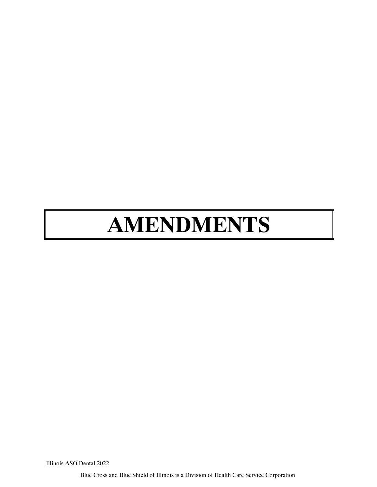# **AMENDMENTS** MENDMENTS

Illinois ASO Dental 2022

Blue Cross and Blue Shield of Illinois is a Division of Health Care Service Corporation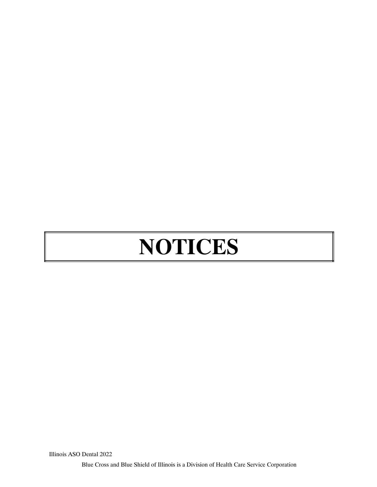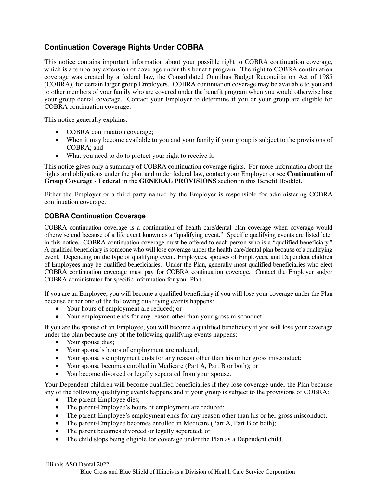# **Continuation Coverage Rights Under COBRA**

This notice contains important information about your possible right to COBRA continuation coverage, which is a temporary extension of coverage under this benefit program. The right to COBRA continuation coverage was created by a federal law, the Consolidated Omnibus Budget Reconciliation Act of 1985 (COBRA), for certain larger group Employers. COBRA continuation coverage may be available to you and to other members of your family who are covered under the benefit program when you would otherwise lose your group dental coverage. Contact your Employer to determine if you or your group are eligible for COBRA continuation coverage.

This notice generally explains:

- COBRA continuation coverage;
- When it may become available to you and your family if your group is subject to the provisions of COBRA; and
- What you need to do to protect your right to receive it.

This notice gives only a summary of COBRA continuation coverage rights. For more information about the rights and obligations under the plan and under federal law, contact your Employer or see **Continuation of Group Coverage ‐ Federal** in the **GENERAL PROVISIONS** section in this Benefit Booklet.

Either the Employer or a third party named by the Employer is responsible for administering COBRA continuation coverage.

### **COBRA Continuation Coverage**

COBRA continuation coverage is a continuation of health care/dental plan coverage when coverage would otherwise end because of a life event known as a "qualifying event." Specific qualifying events are listed later in this notice. COBRA continuation coverage must be offered to each person who is a "qualified beneficiary." A qualified beneficiary is someone who will lose coverage under the health care/dental plan because of a qualifying event. Depending on the type of qualifying event, Employees, spouses of Employees, and Dependent children of Employees may be qualified beneficiaries. Under the Plan, generally most qualified beneficiaries who elect COBRA continuation coverage must pay for COBRA continuation coverage. Contact the Employer and/or COBRA administrator for specific information for your Plan. Infinity of COBRA commutation coverage rights. For inter-<br>the plan and under federal law, contact your Employe<br>ral in the **GENERAL PROVISIONS** section in this Be<br>a third party named by the Employer is responsible for<br>a thi

If you are an Employee, you will become a qualified beneficiary if you will lose your coverage under the Plan because either one of the following qualifying events happens:

- Your hours of employment are reduced; or
- Your employment ends for any reason other than your gross misconduct.

If you are the spouse of an Employee, you will become a qualified beneficiary if you will lose your coverage under the plan because any of the following qualifying events happens:

- Your spouse dies;
- Your spouse's hours of employment are reduced;
- Your spouse's employment ends for any reason other than his or her gross misconduct;
- Your spouse becomes enrolled in Medicare (Part A, Part B or both); or
- You become divorced or legally separated from your spouse.

Your Dependent children will become qualified beneficiaries if they lose coverage under the Plan because any of the following qualifying events happens and if your group is subject to the provisions of COBRA:

- The parent-Employee dies;
- The parent-Employee's hours of employment are reduced;
- The parent-Employee's employment ends for any reason other than his or her gross misconduct;
- The parent-Employee becomes enrolled in Medicare (Part A, Part B or both);
- The parent becomes divorced or legally separated; or
- The child stops being eligible for coverage under the Plan as a Dependent child.

Blue Cross and Blue Shield of Illinois is a Division of Health Care Service Corporation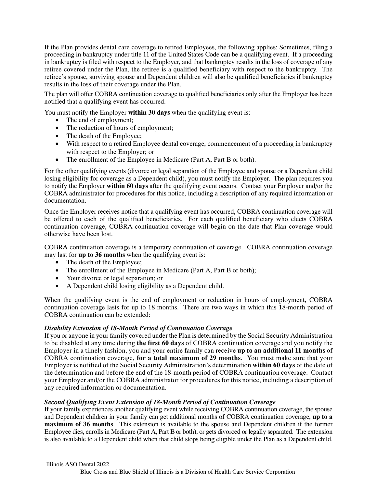If the Plan provides dental care coverage to retired Employees, the following applies: Sometimes, filing a proceeding in bankruptcy under title 11 of the United States Code can be a qualifying event. If a proceeding in bankruptcy is filed with respect to the Employer, and that bankruptcy results in the loss of coverage of any retiree covered under the Plan, the retiree is a qualified beneficiary with respect to the bankruptcy. The retiree's spouse, surviving spouse and Dependent children will also be qualified beneficiaries if bankruptcy results in the loss of their coverage under the Plan.

The plan will offer COBRA continuation coverage to qualified beneficiaries only after the Employer has been notified that a qualifying event has occurred.

You must notify the Employer **within 30 days** when the qualifying event is:

- The end of employment;
- The reduction of hours of employment;
- The death of the Employee;
- With respect to a retired Employee dental coverage, commencement of a proceeding in bankruptcy with respect to the Employer; or
- The enrollment of the Employee in Medicare (Part A, Part B or both).

For the other qualifying events (divorce or legal separation of the Employee and spouse or a Dependent child losing eligibility for coverage as a Dependent child), you must notify the Employer. The plan requires you to notify the Employer **within 60 days** after the qualifying event occurs. Contact your Employer and/or the COBRA administrator for procedures for this notice, including a description of any required information or documentation. vents (divorce or legal separation of the Employee and sprage as a Dependent child), you must notify the Employ<br>thin 60 days after the qualifying event occurs. Contact<br>r procedures for this notice, including a description

Once the Employer receives notice that a qualifying event has occurred, COBRA continuation coverage will be offered to each of the qualified beneficiaries. For each qualified beneficiary who elects COBRA continuation coverage, COBRA continuation coverage will begin on the date that Plan coverage would otherwise have been lost.

COBRA continuation coverage is a temporary continuation of coverage. COBRA continuation coverage may last for **up to 36 months** when the qualifying event is:

- The death of the Employee;
- The enrollment of the Employee in Medicare (Part A, Part B or both);
- Your divorce or legal separation; or
- A Dependent child losing eligibility as a Dependent child.

When the qualifying event is the end of employment or reduction in hours of employment, COBRA continuation coverage lasts for up to 18 months. There are two ways in which this 18-month period of COBRA continuation can be extended:

### *Disability Extension of 18***‐***Month Period of Continuation Coverage*

If you or anyone in your family covered under the Plan is determined by the Social Security Administration to be disabled at any time during **the first 60 days** of COBRA continuation coverage and you notify the Employer in a timely fashion, you and your entire family can receive **up to an additional 11 months** of COBRA continuation coverage, **for a total maximum of 29 months**. You must make sure that your Employer is notified of the Social Security Administration's determination **within 60 days** of the date of the determination and before the end of the 18‐month period of COBRA continuation coverage. Contact your Employer and/or the COBRA administrator for procedures for this notice, including a description of any required information or documentation.

### *Second Qualifying Event Extension of 18‐Month Period of Continuation Coverage*

If your family experiences another qualifying event while receiving COBRA continuation coverage, the spouse and Dependent children in your family can get additional months of COBRA continuation coverage, **up to a maximum of 36 months**. This extension is available to the spouse and Dependent children if the former Employee dies, enrolls in Medicare (Part A, Part B or both), or gets divorced or legally separated. The extension is also available to a Dependent child when that child stops being eligible under the Plan as a Dependent child.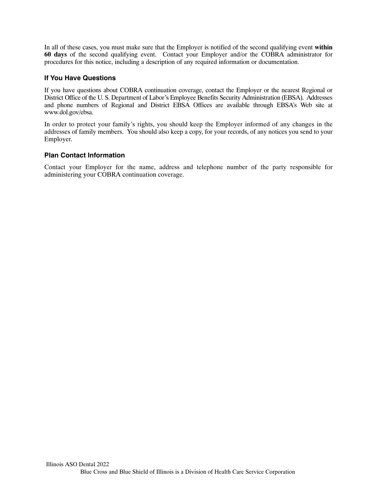In all of these cases, you must make sure that the Employer is notified of the second qualifying event **within 60 days** of the second qualifying event. Contact your Employer and/or the COBRA administrator for procedures for this notice, including a description of any required information or documentation.

### **If You Have Questions**

If you have questions about COBRA continuation coverage, contact the Employer or the nearest Regional or District Office of the U. S. Department of Labor's Employee Benefits Security Administration (EBSA). Addresses and phone numbers of Regional and District EBSA Offices are available through EBSA's Web site at www.dol.gov/ebsa.

In order to protect your family's rights, you should keep the Employer informed of any changes in the addresses of family members. You should also keep a copy, for your records, of any notices you send to your Employer.

### **Plan Contact Information**

Contact your Employer for the name, address and telephone number of the party responsible for administering your COBRA continuation coverage.

for the name, address and telephone number of the<br>RA continuation coverage.